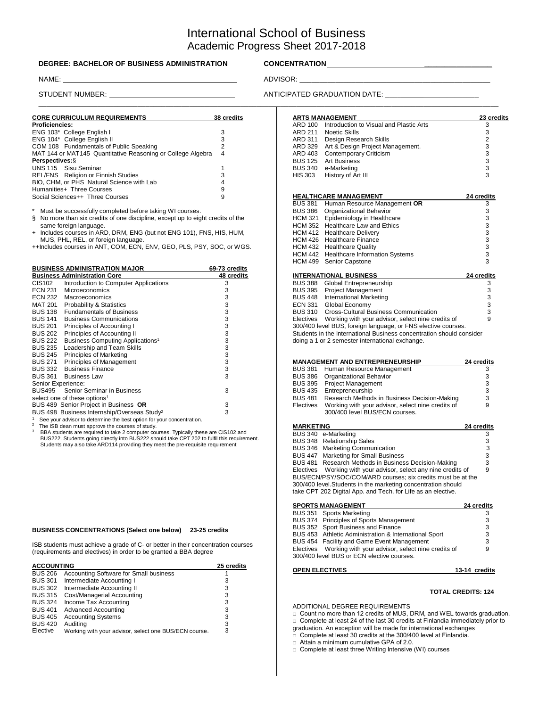# International School of Business Academic Progress Sheet 2017-2018

### **DEGREE: BACHELOR OF BUSINESS ADMINISTRATION CONCENTRATION \_\_\_\_\_\_\_\_\_\_\_\_\_\_\_\_\_**

| <b>CORE CURRICULUM REQUIREMENTS</b><br>38 credits           |   |  |  |  |
|-------------------------------------------------------------|---|--|--|--|
| <b>Proficiencies:</b>                                       |   |  |  |  |
| ENG 103* College English I                                  | 3 |  |  |  |
| ENG 104* College English II                                 | 3 |  |  |  |
| COM 108 Fundamentals of Public Speaking                     | 2 |  |  |  |
| MAT 144 or MAT145 Quantitative Reasoning or College Algebra | 4 |  |  |  |
| <b>Perspectives: §</b>                                      |   |  |  |  |
| UNS 115 Sisu Seminar                                        |   |  |  |  |
| REL/FNS Religion or Finnish Studies                         | 3 |  |  |  |
| BIO, CHM, or PHS Natural Science with Lab                   |   |  |  |  |
| Humanities+ Three Courses                                   | 9 |  |  |  |
| Social Sciences++ Three Courses                             | 9 |  |  |  |

| <b>BUSINESS ADMINISTRATION MAJOR</b>                                  | 69-73 credits                                |            |  |  |
|-----------------------------------------------------------------------|----------------------------------------------|------------|--|--|
|                                                                       | <b>Business Administration Core</b>          | 48 credits |  |  |
| CIS102                                                                | Introduction to Computer Applications        | 3          |  |  |
| <b>ECN 231</b>                                                        | <b>Microeconomics</b>                        | 3          |  |  |
| ECN 232                                                               | Macroeconomics                               | 3          |  |  |
| MAT 201                                                               | Probability & Statistics                     | 3          |  |  |
| <b>BUS 138</b>                                                        | <b>Fundamentals of Business</b>              | 3          |  |  |
| <b>BUS 141</b>                                                        | <b>Business Communications</b>               | 3          |  |  |
| BUS 201                                                               | Principles of Accounting I                   | 3          |  |  |
| <b>BUS 202</b>                                                        | Principles of Accounting II                  | 3          |  |  |
| BUS 222                                                               | Business Computing Applications <sup>1</sup> | 3          |  |  |
| BUS 235                                                               | Leadership and Team Skills                   | 3          |  |  |
| <b>BUS 245</b>                                                        | Principles of Marketing                      | 3          |  |  |
| BUS 271                                                               | Principles of Management                     | 3          |  |  |
| BUS 332                                                               | <b>Business Finance</b>                      | 3          |  |  |
|                                                                       | BUS 361 Business Law                         | 3          |  |  |
| Senior Experience:                                                    |                                              |            |  |  |
| <b>BUS495</b> Senior Seminar in Business                              | 3                                            |            |  |  |
| select one of these options <sup>1</sup>                              |                                              |            |  |  |
| BUS 489 Senior Project in Business OR                                 | 3                                            |            |  |  |
| BUS 498 Business Internship/Overseas Study <sup>2</sup>               | 3                                            |            |  |  |
| See your advisor to determine the best option for your concentration. |                                              |            |  |  |
| The ISB dean must approve the courses of study.                       |                                              |            |  |  |

3

 BBA students are required to take 2 computer courses. Typically these are CIS102 and BUS222. Students going directly into BUS222 should take CPT 202 to fulfil this requirement. Students may also take ARD114 providing they meet the pre-requisite requirement

#### **BUSINESS CONCENTRATIONS (Select one below) 23-25 credits**

ISB students must achieve a grade of C- or better in their concentration courses (requirements and electives) in order to be granted a BBA degree

| <b>ACCOUNTING</b> | 25 credits                                            |   |
|-------------------|-------------------------------------------------------|---|
| <b>BUS 206</b>    | Accounting Software for Small business                |   |
| <b>BUS 301</b>    | Intermediate Accounting I                             | 3 |
| <b>BUS 302</b>    | Intermediate Accounting II                            | 3 |
| <b>BUS 315</b>    | Cost/Managerial Accounting                            | 3 |
| <b>BUS 324</b>    | Income Tax Accounting                                 | 3 |
| <b>BUS 401</b>    | <b>Advanced Accounting</b>                            | 3 |
| <b>BUS 405</b>    | <b>Accounting Systems</b>                             | 3 |
| <b>BUS 420</b>    | Auditina                                              | 3 |
| Elective          | Working with your advisor, select one BUS/ECN course. | 3 |

### NAME: ADVISOR: \_\_\_\_\_\_\_\_\_\_\_\_\_\_\_\_\_\_\_\_\_\_\_\_\_\_\_\_\_\_\_\_\_\_\_\_\_\_\_\_\_\_\_\_\_\_\_\_

STUDENT NUMBER: \_ ANTICIPATED GRADUATION DATE: \_\_\_\_ \_\_\_\_\_\_\_\_\_\_\_\_\_\_

| <b>DRE CURRICULUM REQUIREMENTS</b>                                            | 38 credits    |                | <b>ARTS MANAGEMENT</b>                        | 23 credits |
|-------------------------------------------------------------------------------|---------------|----------------|-----------------------------------------------|------------|
| oficiencies:                                                                  |               | ARD 100        | Introduction to Visual and Plastic Arts       |            |
| JG 103* College English I                                                     | 3             | ARD 211        | Noetic Skills                                 |            |
| <b>JG 104*</b> College English II                                             |               | ARD 311        | Design Research Skills                        |            |
| OM 108 Fundamentals of Public Speaking                                        |               | ARD 329        | Art & Design Project Management.              |            |
| AT 144 or MAT145 Quantitative Reasoning or College Algebra                    |               | ARD 403        | <b>Contemporary Criticism</b>                 |            |
| rspectives:§                                                                  |               | <b>BUS 125</b> | <b>Art Business</b>                           |            |
| <b>JS 115 Sisu Seminar</b>                                                    |               | <b>BUS 340</b> | e-Marketing                                   |            |
| EL/FNS Religion or Finnish Studies                                            |               | <b>HIS 303</b> | History of Art III                            |            |
| O, CHM, or PHS Natural Science with Lab                                       |               |                |                                               |            |
| imanities+ Three Courses                                                      |               |                |                                               |            |
| ocial Sciences++ Three Courses                                                | g             |                | <b>HEALTHCARE MANAGEMENT</b>                  | 24 credits |
|                                                                               |               |                | BUS 381 Human Resource Management OR          |            |
| Must be successfully completed before taking WI courses.                      |               |                | BUS 386 Organizational Behavior               |            |
| No more than six credits of one discipline, except up to eight credits of the |               | HCM 321        | Epidemiology in Healthcare                    |            |
| same foreign language.                                                        |               |                | HCM 352 Healthcare Law and Ethics             |            |
| Includes courses in ARD, DRM, ENG (but not ENG 101), FNS, HIS, HUM,           |               |                | HCM 412 Healthcare Delivery                   |            |
| MUS, PHL, REL, or foreign language.                                           |               |                | HCM 426 Healthcare Finance                    |            |
| Includes courses in ANT, COM, ECN, ENV, GEO, PLS, PSY, SOC, or WGS.           |               |                | HCM 432 Healthcare Quality                    |            |
|                                                                               |               |                | HCM 442 Healthcare Information Systems        |            |
|                                                                               |               |                | HCM 499 Senior Capstone                       |            |
| <b>JSINESS ADMINISTRATION MAJOR</b>                                           | 69-73 credits |                |                                               |            |
| <b>usiness Administration Core</b>                                            | 48 credits    |                | <b>INTERNATIONAL BUSINESS</b>                 | 24 credits |
| S102<br>Introduction to Computer Applications                                 | 3             |                | BUS 388 Global Entrepreneurship               |            |
| Microeconomics<br>CN 231                                                      |               | <b>BUS 395</b> | <b>Project Management</b>                     |            |
| CN 232<br>Macroeconomics                                                      |               | <b>BUS 448</b> | International Marketing                       |            |
| Probability & Statistics<br>AT 201                                            |               | ECN 331        | Global Economy                                |            |
| JS 138<br><b>Fundamentals of Business</b>                                     |               |                | BUS 310 Cross-Cultural Business Communication |            |

Electives Working with your advisor, select nine credits of 9 300/400 level BUS, foreign language, or FNS elective courses. Students in the International Business concentration should consider doing a 1 or 2 semester international exchange.

|                | <b>MANAGEMENT AND ENTREPRENEURSHIP</b>                                              |   |  |  |  |
|----------------|-------------------------------------------------------------------------------------|---|--|--|--|
| <b>BUS 381</b> | Human Resource Management                                                           | 3 |  |  |  |
| <b>BUS 386</b> | Organizational Behavior                                                             | 3 |  |  |  |
| <b>BUS 395</b> | <b>Project Management</b>                                                           | 3 |  |  |  |
| <b>BUS 435</b> | Entrepreneurship                                                                    | 3 |  |  |  |
| <b>BUS 481</b> | Research Methods in Business Decision-Making                                        | 3 |  |  |  |
| Electives      | Working with your advisor, select nine credits of<br>300/400 level BUS/ECN courses. | 9 |  |  |  |
|                |                                                                                     |   |  |  |  |

| <b>MARKETING</b>                                                | 24 credits |
|-----------------------------------------------------------------|------------|
| BUS 340 e-Marketing                                             | 3          |
| BUS 348 Relationship Sales                                      | 3          |
| BUS 346 Marketing Communication                                 | 3          |
| BUS 447 Marketing for Small Business                            | 3          |
| BUS 481 Research Methods in Business Decision-Making            | 3          |
| Electives Working with your advisor, select any nine credits of | 9          |
| BUS/ECN/PSY/SOC/COM/ARD courses; six credits must be at the     |            |
| 300/400 level. Students in the marketing concentration should   |            |
| take CPT 202 Digital App. and Tech. for Life as an elective.    |            |
|                                                                 |            |

| <b>SPORTS MANAGEMENT</b> | 24 credits                                                                                                 |   |
|--------------------------|------------------------------------------------------------------------------------------------------------|---|
|                          | BUS 351 Sports Marketing                                                                                   | 3 |
|                          | BUS 374 Principles of Sports Management                                                                    | 3 |
|                          | BUS 352 Sport Business and Finance                                                                         | 3 |
|                          | BUS 453 Athletic Administration & International Sport                                                      | 3 |
|                          | BUS 454 Facility and Game Event Management                                                                 | 3 |
|                          | Electives  Working with your advisor, select nine credits of<br>300/400 level BUS or ECN elective courses. | 9 |

#### **OPEN ELECTIVES 13-14 credits**

# **TOTAL CREDITS: 124**

ADDITIONAL DEGREE REQUIREMENTS

□ Count no more than 12 credits of MUS, DRM, and WEL towards graduation. □ Complete at least 24 of the last 30 credits at Finlandia immediately prior to

graduation. An exception will be made for international exchanges

□ Complete at least 30 credits at the 300/400 level at Finlandia.

□ Attain a minimum cumulative GPA of 2.0.

□ Complete at least three Writing Intensive (WI) courses